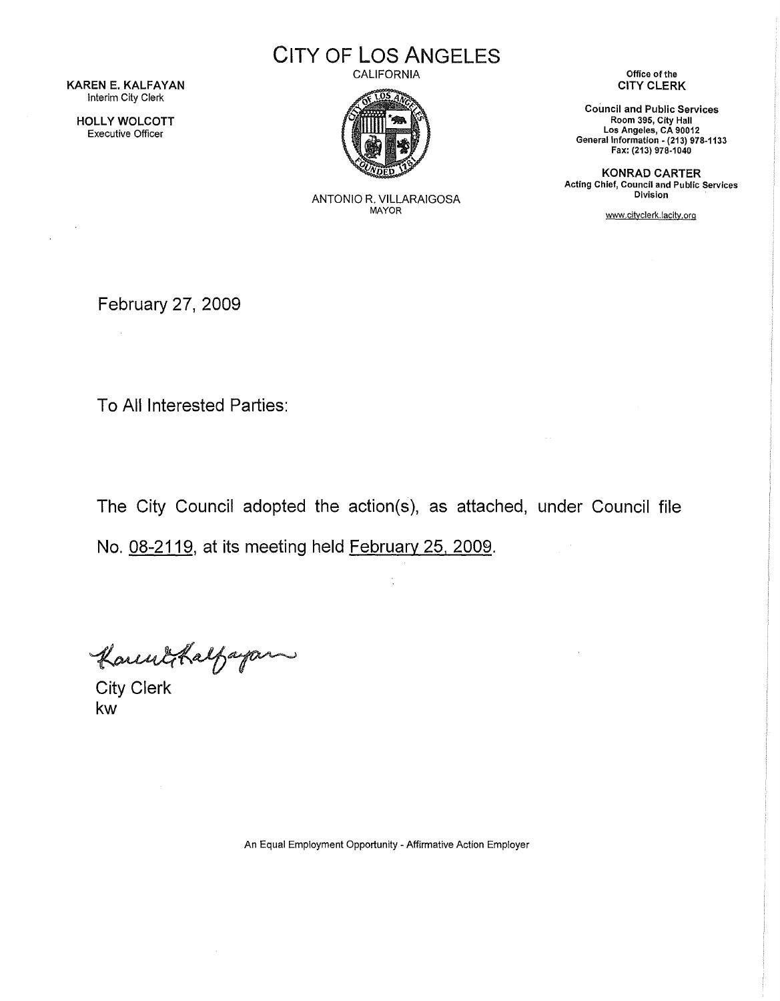KAREN E. KALFAYAN Interim City Clerk

HOLLY WOLCOTT Executive Officer

 $\bar{A}$ 

CITY OF LOS ANGELES

CALIFORNIA



ANTONIO R. VILLARAIGOSA MAYOR

Office of the CITY CLERK

Council and Public Services Room 395, City Hall Los Angeles, CA 90012 General Information- (213) 978-1133 Fax: (213) 978-1040

KONRAD CARTER Acting Chief, Council and Public Services Division

www.citvclerk.lacitv.org

 $\bar{\alpha}$ 

February 27, 2009

To All Interested Parties:

The City Council adopted the action(s), as attached, under Council file No. 08-2119, at its meeting held February 25, 2009.

Kannockalfagan

kw

An Equal Employment Opportunity - Affirmative Action Employer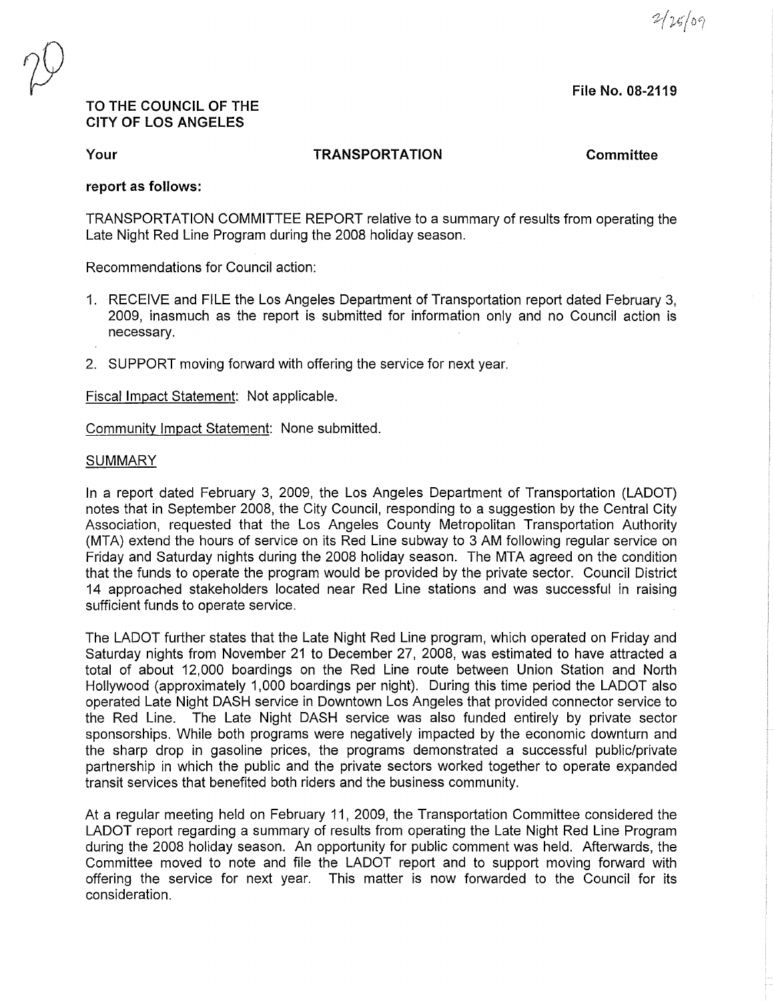$2/25/09$ 

File No. 08-2119

## TO THE COUNCIL OF THE CITY OF LOS ANGELES

Your

TRANSPORTATION Committee

## report as follows:

TRANSPORTATION COMMITTEE REPORT relative to a summary of results from operating the Late Night Red Line Program during the 2008 holiday season.

Recommendations for Council action:

- 1. RECEIVE and FILE the Los Angeles Department of Transportation report dated February 3, 2009, inasmuch as the report is submitted for information only and no Council action is necessary.
- 2. SUPPORT moving forward with offering the service for next year.

Fiscal Impact Statement: Not applicable.

Community Impact Statement: None submitted.

## **SUMMARY**

In a report dated February 3, 2009, the Los Angeles Department of Transportation (LADOT) notes that in September 2008, the City Council, responding to a suggestion by the Central City Association, requested that the Los Angeles County Metropolitan Transportation Authority (MTA) extend the hours of service on its Red Line subway to 3 AM following regular service on Friday and Saturday nights during the 2008 holiday season. The MTA agreed on the condition that the funds to operate the program would be provided by the private sector. Council District 14 approached stakeholders located near Red Line stations and was successful in raising sufficient funds to operate service.

The LADOT further states that the Late Night Red Line program, which operated on Friday and Saturday nights from November 21 to December 27, 2008, was estimated to have attracted a total of about 12,000 boardings on the Red Line route between Union Station and North Hollywood (approximately 1,000 boardings per night). During this time period the LADOT also operated Late Night DASH service in Downtown Los Angeles that provided connector service to the Red Line. The Late Night DASH service was also funded entirely by private sector sponsorships. While both programs were negatively impacted by the economic downturn and the sharp drop in gasoline prices, the programs demonstrated a successful public/private partnership in which the public and the private sectors worked together to operate expanded transit services that benefited both riders and the business community.

At a regular meeting held on February 11, 2009, the Transportation Committee considered the LADOT report regarding a summary of results from operating the Late Night Red Line Program during the 2008 holiday season. An opportunity for public comment was held. Afterwards, the Committee moved to note and file the LADOT report and to support moving forward with offering the service for next year. This matter is now forwarded to the Council for its consideration.